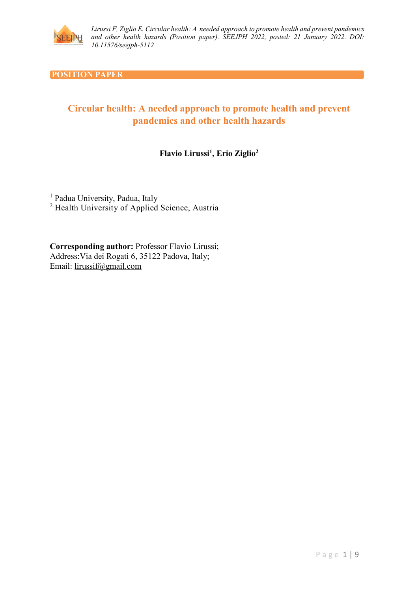

#### **POSITION PAPER**

# **Circular health: A needed approach to promote health and prevent pandemics and other health hazards**

# **Flavio Lirussi1, Erio Ziglio2**

<sup>1</sup> Padua University, Padua, Italy <sup>2</sup> Health University of Applied Science, Austria

**Corresponding author:** Professor Flavio Lirussi; Address:Via dei Rogati 6, 35122 Padova, Italy; Email: [lirussif@gmail.com](mailto:lirussif@gmail.com)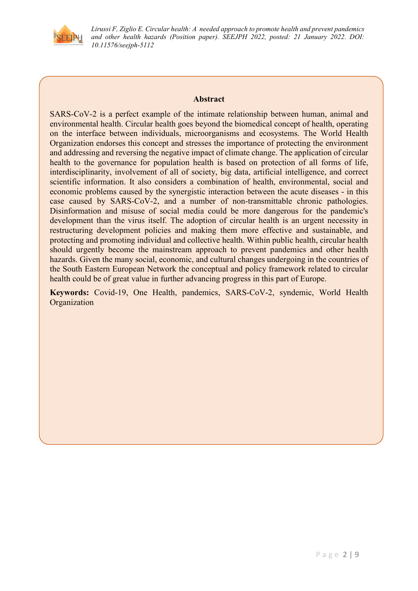

#### **Abstract**

SARS-CoV-2 is a perfect example of the intimate relationship between human, animal and environmental health. Circular health goes beyond the biomedical concept of health, operating on the interface between individuals, microorganisms and ecosystems. The World Health Organization endorses this concept and stresses the importance of protecting the environment and addressing and reversing the negative impact of climate change. The application of circular health to the governance for population health is based on protection of all forms of life, interdisciplinarity, involvement of all of society, big data, artificial intelligence, and correct scientific information. It also considers a combination of health, environmental, social and economic problems caused by the synergistic interaction between the acute diseases - in this case caused by SARS-CoV-2, and a number of non-transmittable chronic pathologies. Disinformation and misuse of social media could be more dangerous for the pandemic's development than the virus itself. The adoption of circular health is an urgent necessity in restructuring development policies and making them more effective and sustainable, and protecting and promoting individual and collective health. Within public health, circular health should urgently become the mainstream approach to prevent pandemics and other health hazards. Given the many social, economic, and cultural changes undergoing in the countries of the South Eastern European Network the conceptual and policy framework related to circular health could be of great value in further advancing progress in this part of Europe.

**Keywords:** Covid-19, One Health, pandemics, SARS-CoV-2, syndemic, World Health Organization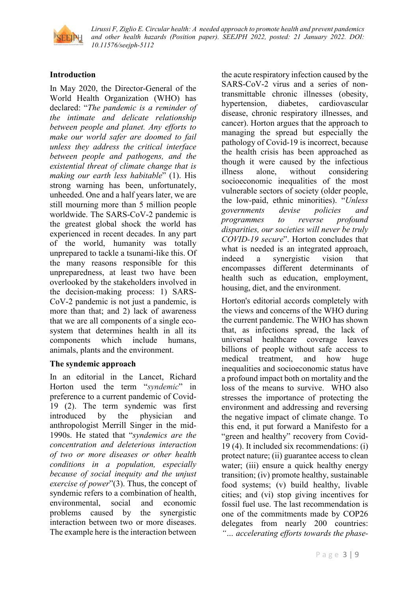

#### **Introduction**

In May 2020, the Director-General of the World Health Organization (WHO) has declared: "*The pandemic is a reminder of the intimate and delicate relationship between people and planet. Any efforts to make our world safer are doomed to fail unless they address the critical interface between people and pathogens, and the existential threat of climate change that is making our earth less habitable*" (1). His strong warning has been, unfortunately, unheeded. One and a half years later, we are still mourning more than 5 million people worldwide. The SARS-CoV-2 pandemic is the greatest global shock the world has experienced in recent decades. In any part of the world, humanity was totally unprepared to tackle a tsunami-like this. Of the many reasons responsible for this unpreparedness, at least two have been overlooked by the stakeholders involved in the decision-making process: 1) SARS-CoV-2 pandemic is not just a pandemic, is more than that; and 2) lack of awareness that we are all components of a single ecosystem that determines health in all its components which include humans, animals, plants and the environment.

#### **The syndemic approach**

In an editorial in the Lancet, Richard Horton used the term "*syndemic*" in preference to a current pandemic of Covid-19 (2). The term syndemic was first introduced by the physician and anthropologist Merrill Singer in the mid-1990s. He stated that "*syndemics are the concentration and deleterious interaction of two or more diseases or other health conditions in a population, especially because of social inequity and the unjust exercise of power*"(3). Thus, the concept of syndemic refers to a combination of health, environmental, social and economic problems caused by the synergistic interaction between two or more diseases. The example here is the interaction between

the acute respiratory infection caused by the SARS-CoV-2 virus and a series of nontransmittable chronic illnesses (obesity, hypertension, diabetes, cardiovascular disease, chronic respiratory illnesses, and cancer). Horton argues that the approach to managing the spread but especially the pathology of Covid-19 is incorrect, because the health crisis has been approached as though it were caused by the infectious illness alone, without considering socioeconomic inequalities of the most vulnerable sectors of society (older people, the low-paid, ethnic minorities). "*Unless governments devise policies and programmes to reverse profound disparities, our societies will never be truly COVID-19 secure*". Horton concludes that what is needed is an integrated approach, indeed a synergistic vision that encompasses different determinants of health such as education, employment, housing, diet, and the environment.

Horton's editorial accords completely with the views and concerns of the WHO during the current pandemic. The WHO has shown that, as infections spread, the lack of universal healthcare coverage leaves billions of people without safe access to medical treatment, and how huge inequalities and socioeconomic status have a profound impact both on mortality and the loss of the means to survive. WHO also stresses the importance of protecting the environment and addressing and reversing the negative impact of climate change. To this end, it put forward a Manifesto for a "green and healthy" recovery from Covid-19 (4). It included six recommendations: (i) protect nature; (ii) guarantee access to clean water; (iii) ensure a quick healthy energy transition; (iv) promote healthy, sustainable food systems; (v) build healthy, livable cities; and (vi) stop giving incentives for fossil fuel use. The last recommendation is one of the commitments made by COP26 delegates from nearly 200 countries: *"… accelerating efforts towards the phase-*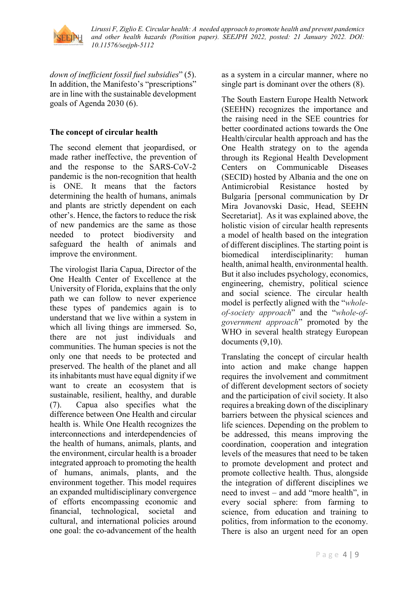

*down of inefficient fossil fuel subsidies*" (5). In addition, the Manifesto's "prescriptions" are in line with the sustainable development goals of Agenda 2030 (6).

# **The concept of circular health**

The second element that jeopardised, or made rather ineffective, the prevention of and the response to the SARS-CoV-2 pandemic is the non-recognition that health is ONE. It means that the factors determining the health of humans, animals and plants are strictly dependent on each other's. Hence, the factors to reduce the risk of new pandemics are the same as those needed to protect biodiversity and safeguard the health of animals and improve the environment.

The virologist Ilaria Capua, Director of the One Health Center of Excellence at the University of Florida, explains that the only path we can follow to never experience these types of pandemics again is to understand that we live within a system in which all living things are immersed*.* So, there are not just individuals and communities. The human species is not the only one that needs to be protected and preserved. The health of the planet and all its inhabitants must have equal dignity if we want to create an ecosystem that is sustainable, resilient, healthy, and durable (7). Capua also specifies what the difference between One Health and circular health is. While One Health recognizes the interconnections and interdependencies of the health of humans, animals, plants, and the environment, circular health is a broader integrated approach to promoting the health of humans, animals, plants, and the environment together. This model requires an expanded multidisciplinary convergence of efforts encompassing economic and financial, technological, societal and cultural, and international policies around one goal: the co-advancement of the health as a system in a circular manner, where no single part is dominant over the others (8).

The South Eastern Europe Health Network (SEEHN) recognizes the importance and the raising need in the SEE countries for better coordinated actions towards the One Health/circular health approach and has the One Health strategy on to the agenda through its Regional Health Development Centers on Communicable Diseases (SECID) hosted by Albania and the one on Antimicrobial Resistance hosted by Bulgaria [personal communication by Dr Mira Jovanovski Dasic, Head, SEEHN Secretariat]. As it was explained above, the holistic vision of circular health represents a model of health based on the integration of different disciplines. The starting point is biomedical interdisciplinarity: human health, animal health, environmental health. But it also includes psychology, economics, engineering, chemistry, political science and social science. The circular health model is perfectly aligned with the "*wholeof-society approach*" and the "*whole-ofgovernment approach*" promoted by the WHO in several health strategy European documents (9,10).

Translating the concept of circular health into action and make change happen requires the involvement and commitment of different development sectors of society and the participation of civil society. It also requires a breaking down of the disciplinary barriers between the physical sciences and life sciences. Depending on the problem to be addressed, this means improving the coordination, cooperation and integration levels of the measures that need to be taken to promote development and protect and promote collective health. Thus, alongside the integration of different disciplines we need to invest – and add "more health", in every social sphere: from farming to science, from education and training to politics, from information to the economy. There is also an urgent need for an open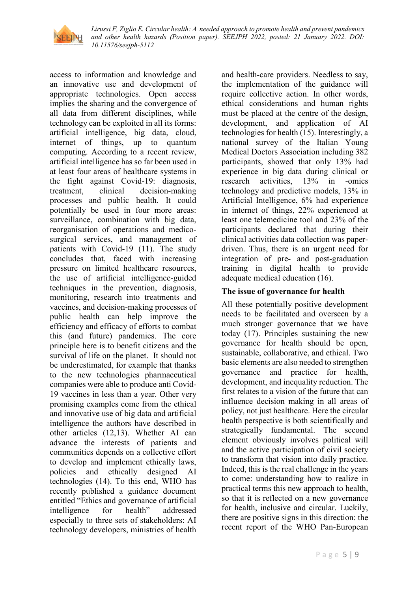

access to information and knowledge and an innovative use and development of appropriate technologies. Open access implies the sharing and the convergence of all data from different disciplines, while technology can be exploited in all its forms: artificial intelligence, big data, cloud, internet of things, up to quantum computing. According to a recent review, artificial intelligence has so far been used in at least four areas of healthcare systems in the fight against Covid-19: diagnosis, treatment, clinical decision-making processes and public health. It could potentially be used in four more areas: surveillance, combination with big data, reorganisation of operations and medicosurgical services, and management of patients with Covid-19 (11). The study concludes that, faced with increasing pressure on limited healthcare resources, the use of artificial intelligence-guided techniques in the prevention, diagnosis, monitoring, research into treatments and vaccines, and decision-making processes of public health can help improve the efficiency and efficacy of efforts to combat this (and future) pandemics. The core principle here is to benefit citizens and the survival of life on the planet. It should not be underestimated, for example that thanks to the new technologies pharmaceutical companies were able to produce anti Covid-19 vaccines in less than a year. Other very promising examples come from the ethical and innovative use of big data and artificial intelligence the authors have described in other articles (12,13). Whether AI can advance the interests of patients and communities depends on a collective effort to develop and implement ethically laws, policies and ethically designed AI technologies (14). To this end, WHO has recently published a guidance document entitled "Ethics and governance of artificial intelligence for health" addressed especially to three sets of stakeholders: AI technology developers, ministries of health and health-care providers. Needless to say, the implementation of the guidance will require collective action. In other words, ethical considerations and human rights must be placed at the centre of the design, development, and application of AI technologies for health (15). Interestingly, a national survey of the Italian Young Medical Doctors Association including 382 participants, showed that only 13% had experience in big data during clinical or research activities, 13% in -omics technology and predictive models, 13% in Artificial Intelligence, 6% had experience in internet of things, 22% experienced at least one telemedicine tool and 23% of the participants declared that during their clinical activities data collection was paperdriven. Thus, there is an urgent need for integration of pre- and post-graduation training in digital health to provide adequate medical education (16).

#### **The issue of governance for health**

All these potentially positive development needs to be facilitated and overseen by a much stronger governance that we have today (17). Principles sustaining the new governance for health should be open, sustainable, collaborative, and ethical. Two basic elements are also needed to strengthen governance and practice for health, development, and inequality reduction. The first relates to a vision of the future that can influence decision making in all areas of policy, not just healthcare. Here the circular health perspective is both scientifically and strategically fundamental. The second element obviously involves political will and the active participation of civil society to transform that vision into daily practice. Indeed, this is the real challenge in the years to come: understanding how to realize in practical terms this new approach to health, so that it is reflected on a new governance for health, inclusive and circular. Luckily, there are positive signs in this direction: the recent report of the WHO Pan-European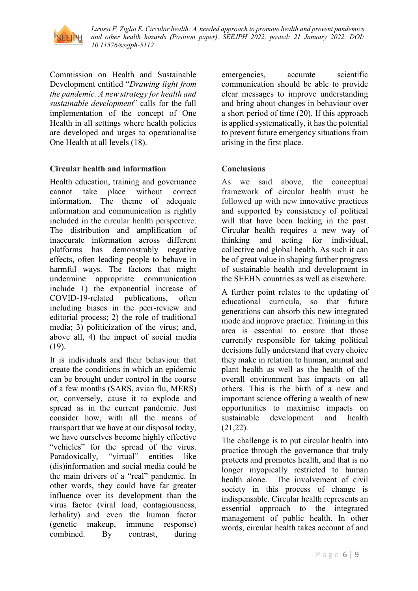

Commission on Health and Sustainable Development entitled "*Drawing light from the pandemic. A new strategy for health and sustainable development*" calls for the full implementation of the concept of One Health in all settings where health policies are developed and urges to operationalise One Health at all levels (18).

## **Circular health and information**

Health education, training and governance<br>cannot take place without correct cannot take place without correct information. The theme of adequate information and communication is rightly included in the circular health perspective. The distribution and amplification of inaccurate information across different platforms has demonstrably negative effects, often leading people to behave in harmful ways. The factors that might undermine appropriate communication include 1) the exponential increase of COVID-19-related publications, often including biases in the peer-review and editorial process; 2) the role of traditional media; 3) politicization of the virus; and, above all, 4) the impact of social media (19).

It is individuals and their behaviour that create the conditions in which an epidemic can be brought under control in the course of a few months (SARS, avian flu, MERS) or, conversely, cause it to explode and spread as in the current pandemic. Just consider how, with all the means of transport that we have at our disposal today, we have ourselves become highly effective "vehicles" for the spread of the virus. Paradoxically, "virtual" entities like (dis)information and social media could be the main drivers of a "real" pandemic. In other words, they could have far greater influence over its development than the virus factor (viral load, contagiousness, lethality) and even the human factor (genetic makeup, immune response) combined. By contrast, during emergencies, accurate scientific communication should be able to provide clear messages to improve understanding and bring about changes in behaviour over a short period of time (20). If this approach is applied systematically, it has the potential to prevent future emergency situations from arising in the first place.

## **Conclusions**

As we said above, the conceptual framework of circular health must be followed up with new innovative practices and supported by consistency of political will that have been lacking in the past. Circular health requires a new way of thinking and acting for individual, collective and global health. As such it can be of great value in shaping further progress of sustainable health and development in the SEEHN countries as well as elsewhere.

A further point relates to the updating of educational curricula, so that future generations can absorb this new integrated mode and improve practice. Training in this area is essential to ensure that those currently responsible for taking political decisions fully understand that every choice they make in relation to human, animal and plant health as well as the health of the overall environment has impacts on all others. This is the birth of a new and important science offering a wealth of new opportunities to maximise impacts on sustainable development and health (21,22).

The challenge is to put circular health into practice through the governance that truly protects and promotes health, and that is no longer myopically restricted to human health alone. The involvement of civil society in this process of change is indispensable. Circular health represents an essential approach to the integrated management of public health. In other words, circular health takes account of and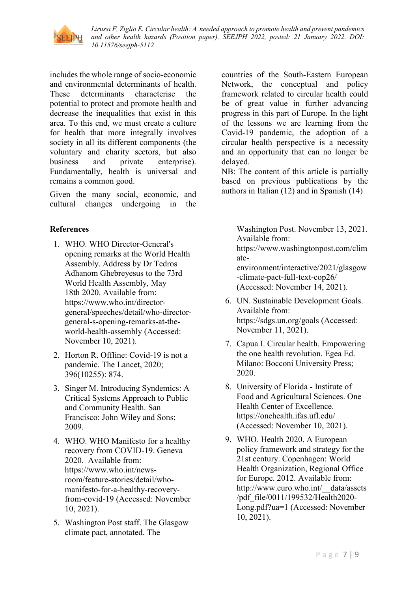

includes the whole range of socio-economic and environmental determinants of health. These determinants characterise the potential to protect and promote health and decrease the inequalities that exist in this area. To this end, we must create a culture for health that more integrally involves society in all its different components (the voluntary and charity sectors, but also business and private enterprise). Fundamentally, health is universal and remains a common good.

Given the many social, economic, and cultural changes undergoing in the

## **References**

- 1. WHO. WHO Director-General's opening remarks at the World Health Assembly. Address by Dr Tedros Adhanom Ghebreyesus to the 73rd World Health Assembly, May 18th 2020. Available from: [https://www.who.int/director](https://www.who.int/director-general/speeches/detail/who-director-general-s-opening-remarks-at-the-world-health-assembly)[general/speeches/detail/who-director](https://www.who.int/director-general/speeches/detail/who-director-general-s-opening-remarks-at-the-world-health-assembly)[general-s-opening-remarks-at-the](https://www.who.int/director-general/speeches/detail/who-director-general-s-opening-remarks-at-the-world-health-assembly)[world-health-assembly](https://www.who.int/director-general/speeches/detail/who-director-general-s-opening-remarks-at-the-world-health-assembly) (Accessed: November 10, 2021).
- 2. Horton R. Offline: Covid-19 is not a pandemic. The Lancet, 2020; 396(10255): 874.
- 3. Singer M. Introducing Syndemics: A Critical Systems Approach to Public and Community Health. San Francisco: John Wiley and Sons; 2009.
- 4. WHO. WHO Manifesto for a healthy recovery from COVID-19. Geneva 2020. Available from: [https://www.who.int/news](https://www.who.int/news-room/feature-stories/detail/who-manifesto-for-a-healthy-recovery-from-covid-19)[room/feature-stories/detail/who](https://www.who.int/news-room/feature-stories/detail/who-manifesto-for-a-healthy-recovery-from-covid-19)[manifesto-for-a-healthy-recovery](https://www.who.int/news-room/feature-stories/detail/who-manifesto-for-a-healthy-recovery-from-covid-19)[from-covid-19](https://www.who.int/news-room/feature-stories/detail/who-manifesto-for-a-healthy-recovery-from-covid-19) (Accessed: November 10, 2021).
- 5. Washington Post staff. The Glasgow climate pact, annotated. The

countries of the South-Eastern European Network, the conceptual and policy framework related to circular health could be of great value in further advancing progress in this part of Europe. In the light of the lessons we are learning from the Covid-19 pandemic, the adoption of a circular health perspective is a necessity and an opportunity that can no longer be delayed.

NB: The content of this article is partially based on previous publications by the authors in Italian (12) and in Spanish (14)

> Washington Post. November 13, 2021. Available from:

> [https://www.washingtonpost.com/clim](https://www.washingtonpost.com/climate-environment/interactive/2021/glasgow-climate-pact-full-text-cop26/) [ate](https://www.washingtonpost.com/climate-environment/interactive/2021/glasgow-climate-pact-full-text-cop26/)[environment/interactive/2021/glasgow](https://www.washingtonpost.com/climate-environment/interactive/2021/glasgow-climate-pact-full-text-cop26/) [-climate-pact-full-text-cop26/](https://www.washingtonpost.com/climate-environment/interactive/2021/glasgow-climate-pact-full-text-cop26/)

(Accessed: November 14, 2021).

- 6. UN. Sustainable Development Goals. Available from: https://sdgs.un.org/goals (Accessed: November 11, 2021).
- 7. Capua I. Circular health. Empowering the one health revolution. Egea Ed. Milano: Bocconi University Press; 2020.
- 8. University of Florida Institute of Food and Agricultural Sciences. One Health Center of Excellence. https://onehealth.ifas.ufl.edu/ (Accessed: November 10, 2021).
- 9. WHO. Health 2020. A European policy framework and strategy for the 21st century. Copenhagen: World Health Organization, Regional Office for Europe. 2012. Available from: [http://www.euro.who.int/\\_\\_data/assets](http://www.euro.who.int/__data/assets/pdf_file/0011/199532/Health2020-Long.pdf?ua=1) [/pdf\\_file/0011/199532/Health2020-](http://www.euro.who.int/__data/assets/pdf_file/0011/199532/Health2020-Long.pdf?ua=1) [Long.pdf?ua=1](http://www.euro.who.int/__data/assets/pdf_file/0011/199532/Health2020-Long.pdf?ua=1) (Accessed: November 10, 2021).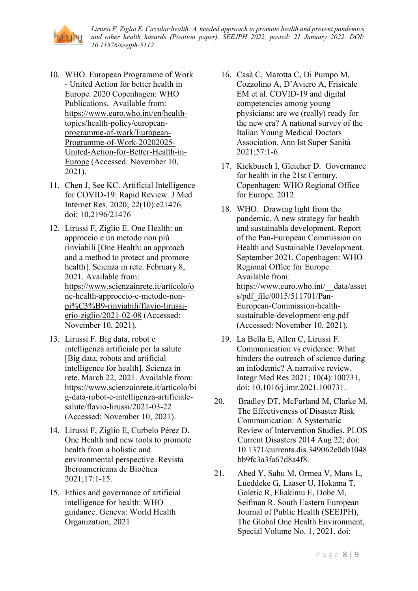

- 10. WHO. European Programme of Work - United Action for better health in Europe. 2020 Copenhagen: WHO Publications. Available from: [https://www.euro.who.int/en/health](https://www.euro.who.int/en/health-topics/health-policy/european-programme-of-work/European-Programme-of-Work-20202025-United-Action-for-Better-Health-in-Europe)[topics/health-policy/european](https://www.euro.who.int/en/health-topics/health-policy/european-programme-of-work/European-Programme-of-Work-20202025-United-Action-for-Better-Health-in-Europe)[programme-of-work/European-](https://www.euro.who.int/en/health-topics/health-policy/european-programme-of-work/European-Programme-of-Work-20202025-United-Action-for-Better-Health-in-Europe)[Programme-of-Work-20202025-](https://www.euro.who.int/en/health-topics/health-policy/european-programme-of-work/European-Programme-of-Work-20202025-United-Action-for-Better-Health-in-Europe) [United-Action-for-Better-Health-in-](https://www.euro.who.int/en/health-topics/health-policy/european-programme-of-work/European-Programme-of-Work-20202025-United-Action-for-Better-Health-in-Europe)[Europe](https://www.euro.who.int/en/health-topics/health-policy/european-programme-of-work/European-Programme-of-Work-20202025-United-Action-for-Better-Health-in-Europe) (Accessed: November 10, 2021).
- 11. Chen J, See KC. Artificial Intelligence for COVID-19: Rapid Review. J Med Internet Res. 2020; 22(10):e21476. doi: [10.2196/21476](https://dx.doi.org/10.2196%2F21476)
- 12. Lirussi F, Ziglio E. One Health: un approccio e un metodo non più rinviabili [One Health: an approach and a method to protect and promote health]. Scienza in rete. February 8, 2021. Available from: [https://www.scienzainrete.it/articolo/o](https://www.scienzainrete.it/articolo/one-health-approccio-e-metodo-non-pi%C3%B9-rinviabili/flavio-lirussi-erio-ziglio/2021-02-08) [ne-health-approccio-e-metodo-non](https://www.scienzainrete.it/articolo/one-health-approccio-e-metodo-non-pi%C3%B9-rinviabili/flavio-lirussi-erio-ziglio/2021-02-08)[pi%C3%B9-rinviabili/flavio-lirussi](https://www.scienzainrete.it/articolo/one-health-approccio-e-metodo-non-pi%C3%B9-rinviabili/flavio-lirussi-erio-ziglio/2021-02-08)[erio-ziglio/2021-02-08](https://www.scienzainrete.it/articolo/one-health-approccio-e-metodo-non-pi%C3%B9-rinviabili/flavio-lirussi-erio-ziglio/2021-02-08) (Accessed: November 10, 2021).
- 13. Lirussi F. Big data, robot e intelligenza artificiale per la salute [Big data, robots and artificial intelligence for health]. Scienza in rete. March 22, 2021. Available from: https://www.scienzainrete.it/articolo/bi g-data-robot-e-intelligenza-artificialesalute/flavio-lirussi/2021-03-22 (Accessed: November 10, 2021).
- 14. Lirussi F, Ziglio E, Curbelo Pérez D. One Health and new tools to promote health from a holistic and environmental perspective. Revista Iberoamericana de Bioética 2021;17:1-15.
- 15. Ethics and governance of artificial intelligence for health: WHO guidance. Geneva: World Health Organization; 2021
- 16. Casà C, Marotta C, Di Pumpo M, Cozzolino A, D'Aviero A, Frisicale EM et al. COVID-19 and digital competencies among young physicians: are we (really) ready for the new era? A national survey of the Italian Young Medical Doctors Association. Ann Ist Super Sanità 2021;57:1-6.
- 17. Kickbusch I, Gleicher D. Governance for health in the 21st Century. Copenhagen: WHO Regional Office for Europe. 2012.
- 18. WHO. Drawing light from the pandemic. A new strategy for health and sustainabla development. Report of the Pan-European Commission on Health and Sustainable Development. September 2021. Copenhagen: WHO Regional Office for Europe. Available from: [https://www.euro.who.int/\\_\\_data/asset](https://www.euro.who.int/__data/assets/pdf_file/0015/511701/Pan-European-Commission-health-sustainable-development-eng.pdf) [s/pdf\\_file/0015/511701/Pan-](https://www.euro.who.int/__data/assets/pdf_file/0015/511701/Pan-European-Commission-health-sustainable-development-eng.pdf)[European-Commission-health](https://www.euro.who.int/__data/assets/pdf_file/0015/511701/Pan-European-Commission-health-sustainable-development-eng.pdf)[sustainable-development-eng.pdf](https://www.euro.who.int/__data/assets/pdf_file/0015/511701/Pan-European-Commission-health-sustainable-development-eng.pdf) (Accessed: November 10, 2021).
- 19. La Bella E, Allen C, Lirussi F. Communication vs evidence: What hinders the outreach of science during an infodemic? A narrative review. Integr Med Res 2021; 10(4):100731, doi: 10.1016/j.imr.2021.100731.
- 20. Bradley DT, McFarland M, Clarke M. The Effectiveness of Disaster Risk Communication: A Systematic Review of Intervention Studies. PLOS Current Disasters 2014 Aug 22; doi: 10.1371/currents.dis.349062e0db1048 bb9fc3a3fa67d8a4f8.
- 21. Abed Y, Sahu M, Ormea V, Mans L, Lueddeke G, Laaser U, Hokama T, Goletic R, Eliakimu E, Dobe M, Seifman R. South Eastern European Journal of Public Health (SEEJPH), The Global One Health Environment, Special Volume No. 1, 2021. doi: